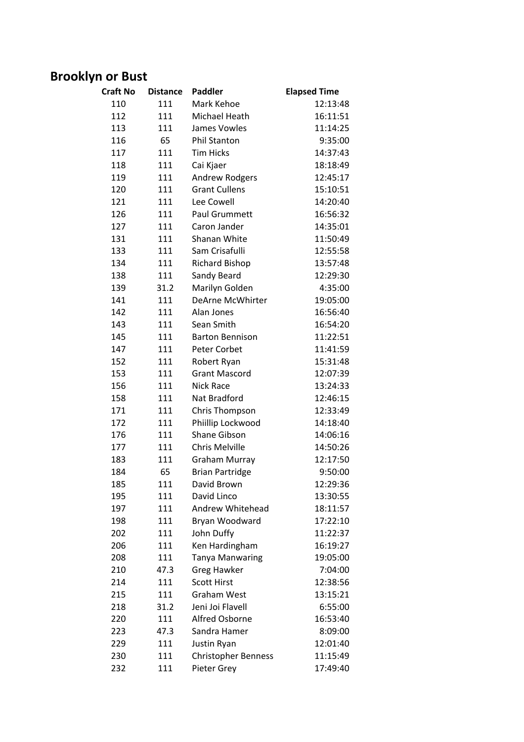### **Brooklyn or Bust**

| <b>Craft No</b> | <b>Distance</b> | <b>Paddler</b>                               | <b>Elapsed Time</b> |
|-----------------|-----------------|----------------------------------------------|---------------------|
| 110             | 111             | Mark Kehoe                                   | 12:13:48            |
| 112             | 111             | Michael Heath                                | 16:11:51            |
| 113             | 111             | James Vowles                                 | 11:14:25            |
| 116             | 65              | <b>Phil Stanton</b>                          | 9:35:00             |
| 117             | 111             | <b>Tim Hicks</b>                             | 14:37:43            |
| 118             | 111             | Cai Kjaer                                    | 18:18:49            |
| 119             | 111             | <b>Andrew Rodgers</b>                        | 12:45:17            |
| 120             | 111             | <b>Grant Cullens</b>                         | 15:10:51            |
| 121             | 111             | Lee Cowell                                   | 14:20:40            |
| 126             | 111             | <b>Paul Grummett</b>                         | 16:56:32            |
| 127             | 111             | Caron Jander                                 | 14:35:01            |
| 131             | 111             | Shanan White                                 | 11:50:49            |
| 133             | 111             | Sam Crisafulli                               | 12:55:58            |
| 134             | 111             | <b>Richard Bishop</b>                        | 13:57:48            |
| 138             | 111             | Sandy Beard                                  | 12:29:30            |
| 139             | 31.2            | Marilyn Golden                               | 4:35:00             |
| 141             | 111             | <b>DeArne McWhirter</b>                      | 19:05:00            |
| 142             | 111             | Alan Jones                                   | 16:56:40            |
| 143             | 111             | Sean Smith                                   | 16:54:20            |
| 145             | 111             | <b>Barton Bennison</b>                       | 11:22:51            |
| 147             | 111             | Peter Corbet                                 | 11:41:59            |
| 152             | 111             | Robert Ryan                                  | 15:31:48            |
| 153             | 111             | <b>Grant Mascord</b>                         | 12:07:39            |
| 156             | 111             | Nick Race                                    | 13:24:33            |
| 158             | 111             | Nat Bradford                                 | 12:46:15            |
| 171             | 111             | Chris Thompson                               | 12:33:49            |
| 172             | 111             | Phiillip Lockwood                            | 14:18:40            |
| 176             | 111             | Shane Gibson                                 | 14:06:16            |
| 177             | 111             | <b>Chris Melville</b>                        | 14:50:26            |
| 183             | 111             | <b>Graham Murray</b>                         | 12:17:50            |
| 184             | 65              | <b>Brian Partridge</b>                       | 9:50:00             |
| 185             |                 |                                              | 12:29:36            |
| 195             | 111<br>111      | David Brown<br>David Linco                   | 13:30:55            |
| 197             | 111             | Andrew Whitehead                             | 18:11:57            |
| 198             | 111             | Bryan Woodward                               | 17:22:10            |
| 202             | 111             | John Duffy                                   | 11:22:37            |
| 206             | 111             | Ken Hardingham                               | 16:19:27            |
| 208             | 111             |                                              | 19:05:00            |
| 210             | 47.3            | <b>Tanya Manwaring</b><br><b>Greg Hawker</b> | 7:04:00             |
| 214             | 111             | <b>Scott Hirst</b>                           | 12:38:56            |
| 215             |                 | <b>Graham West</b>                           |                     |
| 218             | 111<br>31.2     | Jeni Joi Flavell                             | 13:15:21<br>6:55:00 |
|                 |                 | Alfred Osborne                               |                     |
| 220             | 111             |                                              | 16:53:40            |
| 223             | 47.3            | Sandra Hamer                                 | 8:09:00             |
| 229             | 111             | Justin Ryan                                  | 12:01:40            |
| 230             | 111             | <b>Christopher Benness</b>                   | 11:15:49            |
| 232             | 111             | Pieter Grey                                  | 17:49:40            |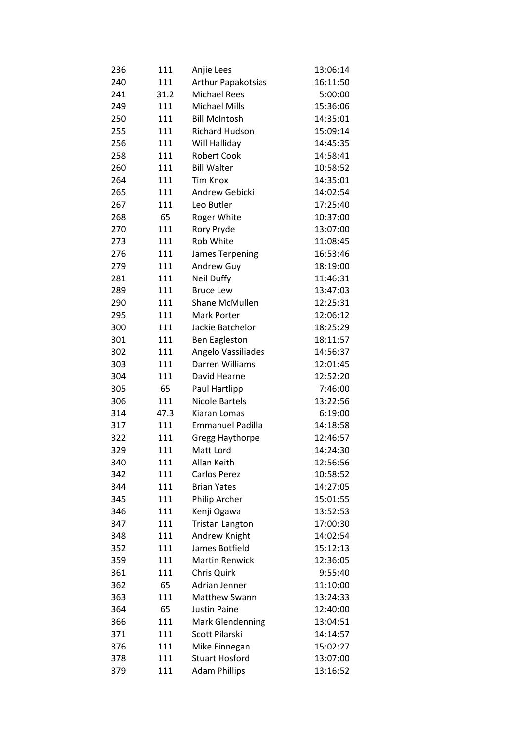| 236 | 111        | Anjie Lees                | 13:06:14             |
|-----|------------|---------------------------|----------------------|
| 240 | 111        | <b>Arthur Papakotsias</b> | 16:11:50             |
| 241 | 31.2       | <b>Michael Rees</b>       | 5:00:00              |
| 249 | 111        | <b>Michael Mills</b>      | 15:36:06             |
| 250 | 111        | <b>Bill McIntosh</b>      | 14:35:01             |
| 255 | 111        | <b>Richard Hudson</b>     | 15:09:14             |
| 256 | 111        | Will Halliday             | 14:45:35             |
| 258 | 111        | <b>Robert Cook</b>        | 14:58:41             |
| 260 | 111        | <b>Bill Walter</b>        | 10:58:52             |
| 264 | 111        | <b>Tim Knox</b>           | 14:35:01             |
| 265 | 111        | Andrew Gebicki            | 14:02:54             |
| 267 | 111        | Leo Butler                | 17:25:40             |
| 268 | 65         | Roger White               | 10:37:00             |
| 270 | 111        | Rory Pryde                | 13:07:00             |
| 273 | 111        | Rob White                 | 11:08:45             |
| 276 | 111        | James Terpening           | 16:53:46             |
| 279 | 111        | Andrew Guy                | 18:19:00             |
| 281 | 111        | Neil Duffy                | 11:46:31             |
| 289 | 111        | <b>Bruce Lew</b>          | 13:47:03             |
| 290 | 111        | Shane McMullen            | 12:25:31             |
| 295 | 111        | <b>Mark Porter</b>        | 12:06:12             |
| 300 | 111        | Jackie Batchelor          | 18:25:29             |
| 301 | 111        | <b>Ben Eagleston</b>      | 18:11:57             |
| 302 | 111        | Angelo Vassiliades        | 14:56:37             |
| 303 | 111        | Darren Williams           | 12:01:45             |
| 304 | 111        | David Hearne              | 12:52:20             |
| 305 | 65         | Paul Hartlipp             | 7:46:00              |
| 306 | 111        | <b>Nicole Bartels</b>     | 13:22:56             |
| 314 | 47.3       | Kiaran Lomas              | 6:19:00              |
| 317 | 111        | <b>Emmanuel Padilla</b>   | 14:18:58             |
| 322 | 111        | Gregg Haythorpe           | 12:46:57             |
| 329 | 111        | Matt Lord                 | 14:24:30             |
| 340 | 111        | Allan Keith               |                      |
| 342 | 111        | Carlos Perez              | 12:56:56<br>10:58:52 |
| 344 | 111        | <b>Brian Yates</b>        | 14:27:05             |
| 345 |            |                           | 15:01:55             |
|     | 111<br>111 | Philip Archer             |                      |
| 346 |            | Kenji Ogawa               | 13:52:53             |
| 347 | 111        | <b>Tristan Langton</b>    | 17:00:30             |
| 348 | 111        | Andrew Knight             | 14:02:54             |
| 352 | 111        | James Botfield            | 15:12:13             |
| 359 | 111        | <b>Martin Renwick</b>     | 12:36:05             |
| 361 | 111        | Chris Quirk               | 9:55:40              |
| 362 | 65         | Adrian Jenner             | 11:10:00             |
| 363 | 111        | Matthew Swann             | 13:24:33             |
| 364 | 65         | <b>Justin Paine</b>       | 12:40:00             |
| 366 | 111        | <b>Mark Glendenning</b>   | 13:04:51             |
| 371 | 111        | Scott Pilarski            | 14:14:57             |
| 376 | 111        | Mike Finnegan             | 15:02:27             |
| 378 | 111        | <b>Stuart Hosford</b>     | 13:07:00             |
| 379 | 111        | <b>Adam Phillips</b>      | 13:16:52             |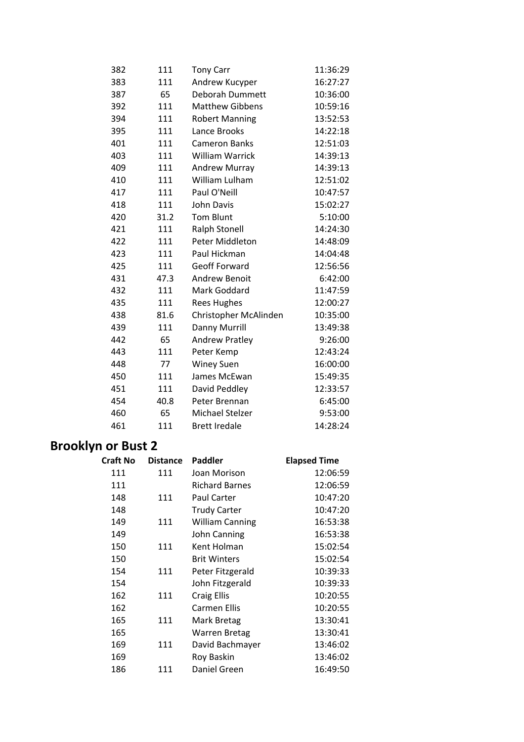| 382 | 111  | <b>Tony Carr</b>       | 11:36:29 |
|-----|------|------------------------|----------|
| 383 | 111  | Andrew Kucyper         | 16:27:27 |
| 387 | 65   | Deborah Dummett        | 10:36:00 |
| 392 | 111  | <b>Matthew Gibbens</b> | 10:59:16 |
| 394 | 111  | <b>Robert Manning</b>  | 13:52:53 |
| 395 | 111  | Lance Brooks           | 14:22:18 |
| 401 | 111  | <b>Cameron Banks</b>   | 12:51:03 |
| 403 | 111  | <b>William Warrick</b> | 14:39:13 |
| 409 | 111  | <b>Andrew Murray</b>   | 14:39:13 |
| 410 | 111  | William Lulham         | 12:51:02 |
| 417 | 111  | Paul O'Neill           | 10:47:57 |
| 418 | 111  | <b>John Davis</b>      | 15:02:27 |
| 420 | 31.2 | <b>Tom Blunt</b>       | 5:10:00  |
| 421 | 111  | <b>Ralph Stonell</b>   | 14:24:30 |
| 422 | 111  | Peter Middleton        | 14:48:09 |
| 423 | 111  | Paul Hickman           | 14:04:48 |
| 425 | 111  | Geoff Forward          | 12:56:56 |
| 431 | 47.3 | <b>Andrew Benoit</b>   | 6:42:00  |
| 432 | 111  | Mark Goddard           | 11:47:59 |
| 435 | 111  | <b>Rees Hughes</b>     | 12:00:27 |
| 438 | 81.6 | Christopher McAlinden  | 10:35:00 |
| 439 | 111  | Danny Murrill          | 13:49:38 |
| 442 | 65   | <b>Andrew Pratley</b>  | 9:26:00  |
| 443 | 111  | Peter Kemp             | 12:43:24 |
| 448 | 77   | <b>Winey Suen</b>      | 16:00:00 |
| 450 | 111  | James McEwan           | 15:49:35 |
| 451 | 111  | David Peddley          | 12:33:57 |
| 454 | 40.8 | Peter Brennan          | 6:45:00  |
| 460 | 65   | Michael Stelzer        | 9:53:00  |
| 461 | 111  | <b>Brett Iredale</b>   | 14:28:24 |

# **Brooklyn or Bust 2**

| <b>Craft No</b> | <b>Distance</b> | Paddler                | <b>Elapsed Time</b> |
|-----------------|-----------------|------------------------|---------------------|
| 111             | 111             | Joan Morison           | 12:06:59            |
| 111             |                 | <b>Richard Barnes</b>  | 12:06:59            |
| 148             | 111             | Paul Carter            | 10:47:20            |
| 148             |                 | <b>Trudy Carter</b>    | 10:47:20            |
| 149             | 111             | <b>William Canning</b> | 16:53:38            |
| 149             |                 | John Canning           | 16:53:38            |
| 150             | 111             | Kent Holman            | 15:02:54            |
| 150             |                 | <b>Brit Winters</b>    | 15:02:54            |
| 154             | 111             | Peter Fitzgerald       | 10:39:33            |
| 154             |                 | John Fitzgerald        | 10:39:33            |
| 162             | 111             | Craig Ellis            | 10:20:55            |
| 162             |                 | Carmen Ellis           | 10:20:55            |
| 165             | 111             | Mark Bretag            | 13:30:41            |
| 165             |                 | <b>Warren Bretag</b>   | 13:30:41            |
| 169             | 111             | David Bachmayer        | 13:46:02            |
| 169             |                 | Roy Baskin             | 13:46:02            |
| 186             | 111             | Daniel Green           | 16:49:50            |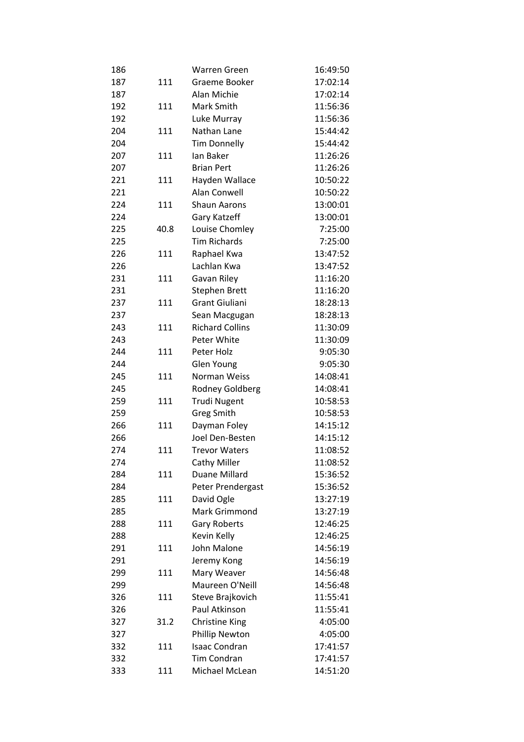| 186 |      | Warren Green                  | 16:49:50 |
|-----|------|-------------------------------|----------|
| 187 | 111  | Graeme Booker                 | 17:02:14 |
| 187 |      | Alan Michie                   | 17:02:14 |
| 192 | 111  | Mark Smith                    | 11:56:36 |
| 192 |      | Luke Murray                   | 11:56:36 |
| 204 | 111  | Nathan Lane                   | 15:44:42 |
| 204 |      | <b>Tim Donnelly</b>           | 15:44:42 |
| 207 | 111  | lan Baker                     | 11:26:26 |
| 207 |      | <b>Brian Pert</b>             | 11:26:26 |
| 221 | 111  | Hayden Wallace                | 10:50:22 |
| 221 |      | Alan Conwell                  | 10:50:22 |
| 224 | 111  | <b>Shaun Aarons</b>           | 13:00:01 |
| 224 |      | Gary Katzeff                  | 13:00:01 |
| 225 | 40.8 | Louise Chomley                | 7:25:00  |
| 225 |      | <b>Tim Richards</b>           | 7:25:00  |
| 226 | 111  | Raphael Kwa                   | 13:47:52 |
| 226 |      | Lachlan Kwa                   | 13:47:52 |
| 231 | 111  | Gavan Riley                   | 11:16:20 |
| 231 |      | <b>Stephen Brett</b>          | 11:16:20 |
| 237 | 111  | <b>Grant Giuliani</b>         | 18:28:13 |
| 237 |      | Sean Macgugan                 | 18:28:13 |
| 243 | 111  | <b>Richard Collins</b>        | 11:30:09 |
| 243 |      | Peter White                   | 11:30:09 |
| 244 | 111  | Peter Holz                    | 9:05:30  |
| 244 |      | <b>Glen Young</b>             | 9:05:30  |
| 245 | 111  | Norman Weiss                  | 14:08:41 |
| 245 |      | Rodney Goldberg               | 14:08:41 |
| 259 | 111  | <b>Trudi Nugent</b>           | 10:58:53 |
| 259 |      | <b>Greg Smith</b>             | 10:58:53 |
| 266 | 111  | Dayman Foley                  | 14:15:12 |
| 266 |      | Joel Den-Besten               | 14:15:12 |
| 274 | 111  | <b>Trevor Waters</b>          | 11:08:52 |
| 274 |      |                               | 11:08:52 |
| 284 | 111  | Cathy Miller<br>Duane Millard | 15:36:52 |
| 284 |      |                               | 15:36:52 |
| 285 |      | Peter Prendergast             | 13:27:19 |
|     | 111  | David Ogle<br>Mark Grimmond   |          |
| 285 |      |                               | 13:27:19 |
| 288 | 111  | <b>Gary Roberts</b>           | 12:46:25 |
| 288 |      | Kevin Kelly                   | 12:46:25 |
| 291 | 111  | John Malone                   | 14:56:19 |
| 291 |      | Jeremy Kong                   | 14:56:19 |
| 299 | 111  | Mary Weaver                   | 14:56:48 |
| 299 |      | Maureen O'Neill               | 14:56:48 |
| 326 | 111  | Steve Brajkovich              | 11:55:41 |
| 326 |      | Paul Atkinson                 | 11:55:41 |
| 327 | 31.2 | <b>Christine King</b>         | 4:05:00  |
| 327 |      | Phillip Newton                | 4:05:00  |
| 332 | 111  | <b>Isaac Condran</b>          | 17:41:57 |
| 332 |      | Tim Condran                   | 17:41:57 |
| 333 | 111  | Michael McLean                | 14:51:20 |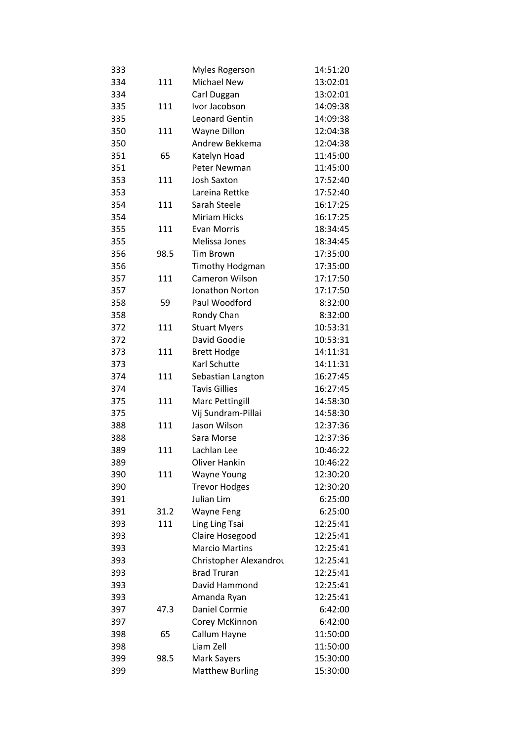| 333 |      | <b>Myles Rogerson</b>  | 14:51:20 |
|-----|------|------------------------|----------|
| 334 | 111  | <b>Michael New</b>     | 13:02:01 |
| 334 |      | Carl Duggan            | 13:02:01 |
| 335 | 111  | Ivor Jacobson          | 14:09:38 |
| 335 |      | <b>Leonard Gentin</b>  | 14:09:38 |
| 350 | 111  | Wayne Dillon           | 12:04:38 |
| 350 |      | Andrew Bekkema         | 12:04:38 |
| 351 | 65   | Katelyn Hoad           | 11:45:00 |
| 351 |      | <b>Peter Newman</b>    | 11:45:00 |
| 353 | 111  | <b>Josh Saxton</b>     | 17:52:40 |
| 353 |      | Lareina Rettke         | 17:52:40 |
| 354 | 111  | Sarah Steele           | 16:17:25 |
| 354 |      | <b>Miriam Hicks</b>    | 16:17:25 |
| 355 | 111  | Evan Morris            | 18:34:45 |
| 355 |      | Melissa Jones          | 18:34:45 |
| 356 | 98.5 | <b>Tim Brown</b>       | 17:35:00 |
| 356 |      | <b>Timothy Hodgman</b> | 17:35:00 |
| 357 | 111  | <b>Cameron Wilson</b>  | 17:17:50 |
| 357 |      | Jonathon Norton        | 17:17:50 |
| 358 | 59   | Paul Woodford          | 8:32:00  |
| 358 |      | Rondy Chan             | 8:32:00  |
| 372 | 111  | <b>Stuart Myers</b>    | 10:53:31 |
| 372 |      | David Goodie           | 10:53:31 |
| 373 | 111  | <b>Brett Hodge</b>     | 14:11:31 |
| 373 |      | Karl Schutte           | 14:11:31 |
| 374 | 111  | Sebastian Langton      | 16:27:45 |
| 374 |      | <b>Tavis Gillies</b>   | 16:27:45 |
| 375 | 111  | <b>Marc Pettingill</b> | 14:58:30 |
| 375 |      | Vij Sundram-Pillai     | 14:58:30 |
| 388 | 111  | Jason Wilson           | 12:37:36 |
| 388 |      | Sara Morse             | 12:37:36 |
| 389 | 111  | Lachlan Lee            | 10:46:22 |
| 389 |      | Oliver Hankin          | 10:46:22 |
| 390 | 111  | <b>Wayne Young</b>     | 12:30:20 |
| 390 |      | <b>Trevor Hodges</b>   | 12:30:20 |
| 391 |      | Julian Lim             | 6:25:00  |
| 391 | 31.2 | <b>Wayne Feng</b>      | 6:25:00  |
| 393 | 111  | Ling Ling Tsai         | 12:25:41 |
| 393 |      | Claire Hosegood        | 12:25:41 |
| 393 |      | <b>Marcio Martins</b>  | 12:25:41 |
| 393 |      | Christopher Alexandrou | 12:25:41 |
| 393 |      | <b>Brad Truran</b>     | 12:25:41 |
| 393 |      | David Hammond          | 12:25:41 |
| 393 |      | Amanda Ryan            | 12:25:41 |
| 397 | 47.3 | Daniel Cormie          | 6:42:00  |
| 397 |      | Corey McKinnon         | 6:42:00  |
| 398 | 65   | Callum Hayne           | 11:50:00 |
| 398 |      | Liam Zell              | 11:50:00 |
| 399 | 98.5 | Mark Sayers            | 15:30:00 |
| 399 |      | <b>Matthew Burling</b> | 15:30:00 |
|     |      |                        |          |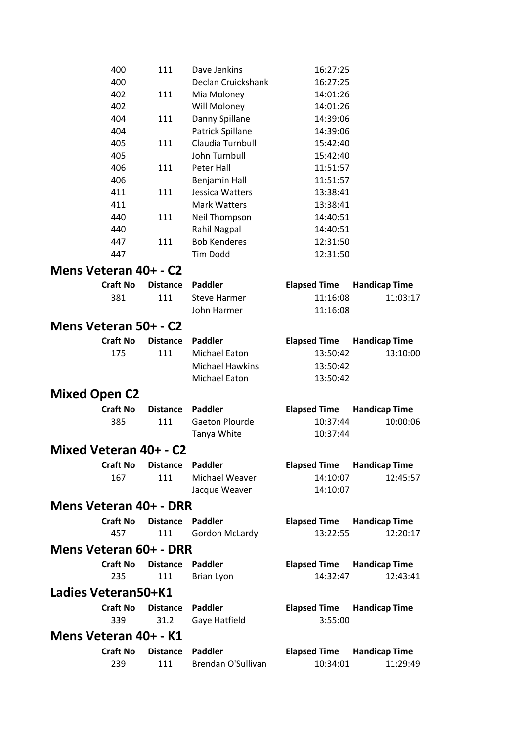| 400                        | 111             | Dave Jenkins                        | 16:27:25            |                      |
|----------------------------|-----------------|-------------------------------------|---------------------|----------------------|
| 400                        |                 | Declan Cruickshank                  | 16:27:25            |                      |
| 402                        | 111             | Mia Moloney                         | 14:01:26            |                      |
| 402                        |                 | Will Moloney                        | 14:01:26            |                      |
| 404                        | 111             | Danny Spillane                      | 14:39:06            |                      |
| 404                        |                 | Patrick Spillane                    | 14:39:06            |                      |
| 405                        | 111             | Claudia Turnbull                    | 15:42:40            |                      |
| 405                        |                 | John Turnbull                       | 15:42:40            |                      |
| 406                        | 111             | <b>Peter Hall</b>                   | 11:51:57            |                      |
| 406                        |                 | Benjamin Hall                       | 11:51:57            |                      |
| 411                        | 111             | Jessica Watters                     | 13:38:41            |                      |
| 411                        |                 | <b>Mark Watters</b>                 | 13:38:41            |                      |
| 440                        | 111             | Neil Thompson                       | 14:40:51            |                      |
| 440                        |                 | Rahil Nagpal<br><b>Bob Kenderes</b> | 14:40:51            |                      |
| 447                        | 111             |                                     | 12:31:50            |                      |
| 447                        |                 | Tim Dodd                            | 12:31:50            |                      |
| Mens Veteran 40+ - C2      |                 |                                     |                     |                      |
| <b>Craft No</b>            | <b>Distance</b> | <b>Paddler</b>                      | <b>Elapsed Time</b> | <b>Handicap Time</b> |
| 381                        | 111             | <b>Steve Harmer</b>                 | 11:16:08            | 11:03:17             |
|                            |                 | John Harmer                         | 11:16:08            |                      |
| Mens Veteran 50+ - C2      |                 |                                     |                     |                      |
| <b>Craft No</b>            | <b>Distance</b> | <b>Paddler</b>                      | <b>Elapsed Time</b> | <b>Handicap Time</b> |
| 175                        | 111             | Michael Eaton                       | 13:50:42            | 13:10:00             |
|                            |                 | <b>Michael Hawkins</b>              | 13:50:42            |                      |
|                            |                 | Michael Eaton                       | 13:50:42            |                      |
| <b>Mixed Open C2</b>       |                 |                                     |                     |                      |
| <b>Craft No</b>            | <b>Distance</b> | <b>Paddler</b>                      | <b>Elapsed Time</b> | <b>Handicap Time</b> |
| 385                        | 111             | <b>Gaeton Plourde</b>               | 10:37:44            | 10:00:06             |
|                            |                 | Tanya White                         | 10:37:44            |                      |
| Mixed Veteran 40+ - C2     |                 |                                     |                     |                      |
| <b>Craft No</b>            | <b>Distance</b> | <b>Paddler</b>                      | <b>Elapsed Time</b> | <b>Handicap Time</b> |
| 167                        | 111             | Michael Weaver                      | 14:10:07            | 12:45:57             |
|                            |                 | Jacque Weaver                       | 14:10:07            |                      |
| Mens Veteran 40+ - DRR     |                 |                                     |                     |                      |
|                            |                 |                                     |                     |                      |
| <b>Craft No</b>            | <b>Distance</b> | <b>Paddler</b>                      | <b>Elapsed Time</b> | <b>Handicap Time</b> |
| 457                        | 111             | Gordon McLardy                      | 13:22:55            | 12:20:17             |
| Mens Veteran 60+ - DRR     |                 |                                     |                     |                      |
| <b>Craft No</b>            | <b>Distance</b> | <b>Paddler</b>                      | <b>Elapsed Time</b> | <b>Handicap Time</b> |
| 235                        | 111             | <b>Brian Lyon</b>                   | 14:32:47            | 12:43:41             |
| <b>Ladies Veteran50+K1</b> |                 |                                     |                     |                      |
| <b>Craft No</b>            | <b>Distance</b> | <b>Paddler</b>                      | <b>Elapsed Time</b> | <b>Handicap Time</b> |
| 339                        | 31.2            | Gaye Hatfield                       | 3:55:00             |                      |
| Mens Veteran 40+ - K1      |                 |                                     |                     |                      |
| <b>Craft No</b>            | <b>Distance</b> | <b>Paddler</b>                      | <b>Elapsed Time</b> | <b>Handicap Time</b> |
| 239                        | 111             | Brendan O'Sullivan                  | 10:34:01            | 11:29:49             |
|                            |                 |                                     |                     |                      |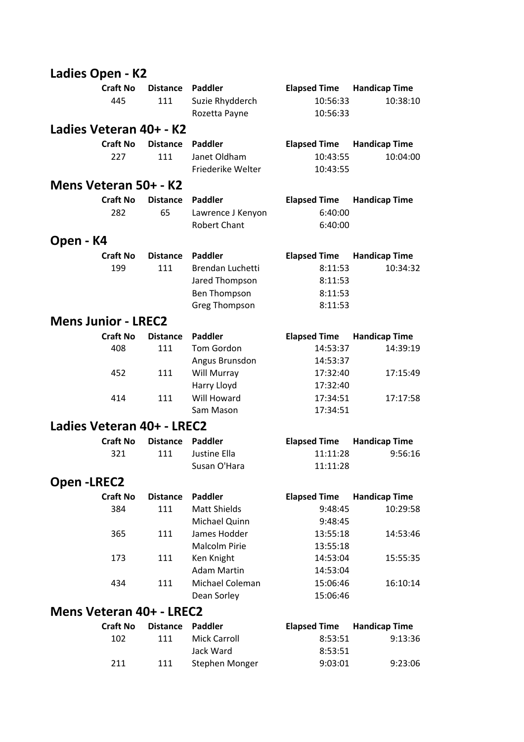| Ladies Open - K2           |                        |                        |                                                                                              |                                                                 |                                  |
|----------------------------|------------------------|------------------------|----------------------------------------------------------------------------------------------|-----------------------------------------------------------------|----------------------------------|
|                            | <b>Craft No</b><br>445 | <b>Distance</b><br>111 | Paddler<br>Suzie Rhydderch<br>Rozetta Payne                                                  | <b>Elapsed Time</b><br>10:56:33<br>10:56:33                     | <b>Handicap Time</b><br>10:38:10 |
| Ladies Veteran 40+ - K2    |                        |                        |                                                                                              |                                                                 |                                  |
|                            | <b>Craft No</b>        | <b>Distance</b>        | Paddler                                                                                      | <b>Elapsed Time</b>                                             | <b>Handicap Time</b>             |
|                            | 227                    | 111                    | Janet Oldham<br>Friederike Welter                                                            | 10:43:55<br>10:43:55                                            | 10:04:00                         |
| Mens Veteran 50+ - K2      |                        |                        |                                                                                              |                                                                 |                                  |
|                            | <b>Craft No</b>        | <b>Distance</b>        | Paddler                                                                                      | <b>Elapsed Time</b>                                             | <b>Handicap Time</b>             |
|                            | 282                    | 65                     | Lawrence J Kenyon<br><b>Robert Chant</b>                                                     | 6:40:00<br>6:40:00                                              |                                  |
| Open - K4                  |                        |                        |                                                                                              |                                                                 |                                  |
|                            | <b>Craft No</b><br>199 | <b>Distance</b><br>111 | Paddler<br>Brendan Luchetti<br>Jared Thompson<br><b>Ben Thompson</b><br><b>Greg Thompson</b> | <b>Elapsed Time</b><br>8:11:53<br>8:11:53<br>8:11:53<br>8:11:53 | <b>Handicap Time</b><br>10:34:32 |
| <b>Mens Junior - LREC2</b> |                        |                        |                                                                                              |                                                                 |                                  |
|                            | <b>Craft No</b><br>408 | <b>Distance</b><br>111 | Paddler<br>Tom Gordon                                                                        | <b>Elapsed Time</b><br>14:53:37                                 | <b>Handicap Time</b><br>14:39:19 |
|                            | 452                    | 111                    | Angus Brunsdon<br>Will Murray<br>Harry Lloyd                                                 | 14:53:37<br>17:32:40<br>17:32:40                                | 17:15:49                         |
|                            | 414                    | 111                    | Will Howard<br>Sam Mason                                                                     | 17:34:51<br>17:34:51                                            | 17:17:58                         |
| Ladies Veteran 40+ - LREC2 |                        |                        |                                                                                              |                                                                 |                                  |
|                            | <b>Craft No</b><br>321 | <b>Distance</b><br>111 | Paddler<br>Justine Ella<br>Susan O'Hara                                                      | <b>Elapsed Time</b><br>11:11:28<br>11:11:28                     | <b>Handicap Time</b><br>9:56:16  |
| <b>Open-LREC2</b>          |                        |                        |                                                                                              |                                                                 |                                  |
|                            | <b>Craft No</b>        | <b>Distance</b>        | <b>Paddler</b>                                                                               | <b>Elapsed Time</b>                                             | <b>Handicap Time</b>             |
|                            | 384                    | 111                    | <b>Matt Shields</b><br>Michael Quinn                                                         | 9:48:45<br>9:48:45                                              | 10:29:58                         |
|                            | 365                    | 111                    | James Hodder<br><b>Malcolm Pirie</b>                                                         | 13:55:18<br>13:55:18                                            | 14:53:46                         |
|                            | 173                    | 111                    | Ken Knight<br><b>Adam Martin</b>                                                             | 14:53:04<br>14:53:04                                            | 15:55:35                         |
|                            | 434                    | 111                    | Michael Coleman<br>Dean Sorley                                                               | 15:06:46<br>15:06:46                                            | 16:10:14                         |
| Mens Veteran 40+ - LREC2   |                        |                        |                                                                                              |                                                                 |                                  |
|                            | <b>Craft No</b>        | <b>Distance</b>        | Paddler                                                                                      | <b>Elapsed Time</b>                                             | <b>Handicap Time</b>             |
|                            | 102                    | 111                    | <b>Mick Carroll</b><br>Jack Ward                                                             | 8:53:51<br>8:53:51                                              | 9:13:36                          |
|                            | 211                    | 111                    | Stephen Monger                                                                               | 9:03:01                                                         | 9:23:06                          |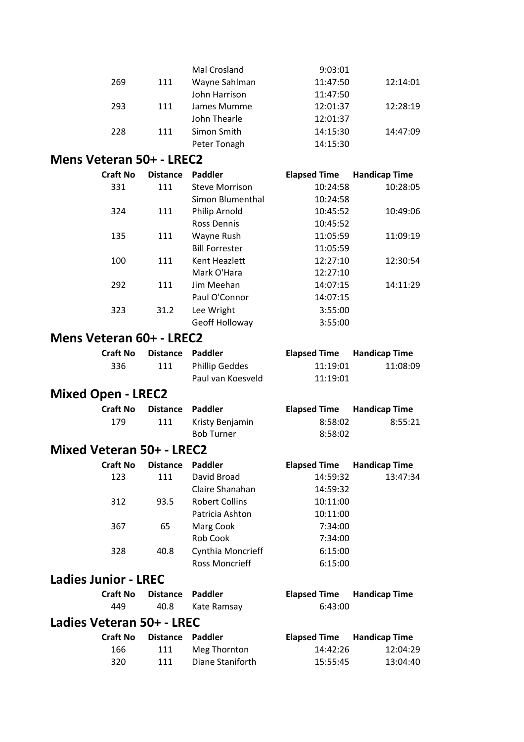|                                  |                 |                 | Mal Crosland                        | 9:03:01              |                      |  |
|----------------------------------|-----------------|-----------------|-------------------------------------|----------------------|----------------------|--|
|                                  | 269             | 111             | Wayne Sahlman                       | 11:47:50             | 12:14:01             |  |
|                                  |                 |                 | John Harrison                       | 11:47:50             |                      |  |
|                                  | 293             | 111             | James Mumme                         | 12:01:37             | 12:28:19             |  |
|                                  |                 |                 | John Thearle                        | 12:01:37             |                      |  |
|                                  | 228             | 111             | Simon Smith                         | 14:15:30             | 14:47:09             |  |
|                                  |                 |                 | Peter Tonagh                        | 14:15:30             |                      |  |
| Mens Veteran 50+ - LREC2         |                 |                 |                                     |                      |                      |  |
|                                  | <b>Craft No</b> | <b>Distance</b> | Paddler                             |                      |                      |  |
|                                  | 331             |                 | <b>Steve Morrison</b>               | <b>Elapsed Time</b>  | <b>Handicap Time</b> |  |
|                                  |                 | 111             | Simon Blumenthal                    | 10:24:58<br>10:24:58 | 10:28:05             |  |
|                                  | 324             | 111             | Philip Arnold                       | 10:45:52             |                      |  |
|                                  |                 |                 | <b>Ross Dennis</b>                  | 10:45:52             | 10:49:06             |  |
|                                  | 135             | 111             |                                     | 11:05:59             |                      |  |
|                                  |                 |                 | Wayne Rush<br><b>Bill Forrester</b> | 11:05:59             | 11:09:19             |  |
|                                  | 100             | 111             | Kent Heazlett                       | 12:27:10             |                      |  |
|                                  |                 |                 | Mark O'Hara                         | 12:27:10             | 12:30:54             |  |
|                                  | 292             | 111             | Jim Meehan                          | 14:07:15             | 14:11:29             |  |
|                                  |                 |                 | Paul O'Connor                       | 14:07:15             |                      |  |
|                                  | 323             | 31.2            |                                     | 3:55:00              |                      |  |
|                                  |                 |                 | Lee Wright                          |                      |                      |  |
|                                  |                 |                 | Geoff Holloway                      | 3:55:00              |                      |  |
| Mens Veteran 60+ - LREC2         |                 |                 |                                     |                      |                      |  |
|                                  | <b>Craft No</b> | <b>Distance</b> | <b>Paddler</b>                      | <b>Elapsed Time</b>  | <b>Handicap Time</b> |  |
|                                  | 336             | 111             | <b>Phillip Geddes</b>               | 11:19:01             | 11:08:09             |  |
|                                  |                 |                 | Paul van Koesveld                   | 11:19:01             |                      |  |
| <b>Mixed Open - LREC2</b>        |                 |                 |                                     |                      |                      |  |
|                                  |                 |                 |                                     |                      |                      |  |
|                                  | <b>Craft No</b> | <b>Distance</b> | <b>Paddler</b>                      |                      |                      |  |
|                                  |                 |                 |                                     | <b>Elapsed Time</b>  | <b>Handicap Time</b> |  |
|                                  | 179             | 111             | Kristy Benjamin                     | 8:58:02              | 8:55:21              |  |
|                                  |                 |                 | <b>Bob Turner</b>                   | 8:58:02              |                      |  |
| <b>Mixed Veteran 50+ - LREC2</b> |                 |                 |                                     |                      |                      |  |
|                                  | <b>Craft No</b> | <b>Distance</b> | <b>Paddler</b>                      | <b>Elapsed Time</b>  | <b>Handicap Time</b> |  |
|                                  | 123             | 111             | David Broad                         | 14:59:32             | 13:47:34             |  |
|                                  |                 |                 | Claire Shanahan                     | 14:59:32             |                      |  |
|                                  | 312             | 93.5            | <b>Robert Collins</b>               | 10:11:00             |                      |  |
|                                  |                 |                 | Patricia Ashton                     | 10:11:00             |                      |  |
|                                  | 367             | 65              | Marg Cook                           | 7:34:00              |                      |  |
|                                  |                 |                 | Rob Cook                            | 7:34:00              |                      |  |
|                                  | 328             | 40.8            | Cynthia Moncrieff                   | 6:15:00              |                      |  |
|                                  |                 |                 | <b>Ross Moncrieff</b>               | 6:15:00              |                      |  |
| <b>Ladies Junior - LREC</b>      |                 |                 |                                     |                      |                      |  |
|                                  | <b>Craft No</b> | <b>Distance</b> | <b>Paddler</b>                      | <b>Elapsed Time</b>  | <b>Handicap Time</b> |  |
|                                  | 449             | 40.8            | Kate Ramsay                         | 6:43:00              |                      |  |
| Ladies Veteran 50+ - LREC        |                 |                 |                                     |                      |                      |  |
|                                  | <b>Craft No</b> | <b>Distance</b> | <b>Paddler</b>                      | <b>Elapsed Time</b>  | <b>Handicap Time</b> |  |
|                                  | 166             | 111             | Meg Thornton                        | 14:42:26             | 12:04:29             |  |
|                                  | 320             | 111             | Diane Staniforth                    | 15:55:45             | 13:04:40             |  |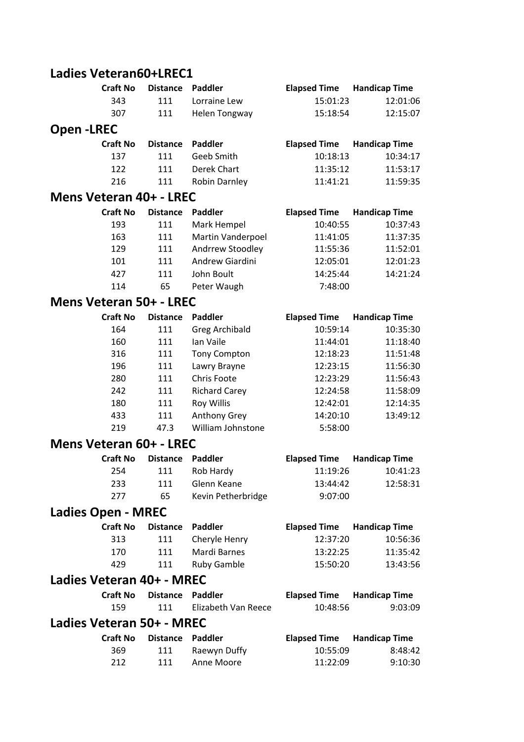### **Ladies Veteran60+LREC1**

|                                | <b>Craft No</b> | <b>Distance</b> | <b>Paddler</b>        | <b>Elapsed Time</b> | <b>Handicap Time</b> |
|--------------------------------|-----------------|-----------------|-----------------------|---------------------|----------------------|
|                                | 343             | 111             | Lorraine Lew          | 15:01:23            | 12:01:06             |
|                                | 307             | 111             | <b>Helen Tongway</b>  | 15:18:54            | 12:15:07             |
| <b>Open-LREC</b>               |                 |                 |                       |                     |                      |
|                                | <b>Craft No</b> | <b>Distance</b> | <b>Paddler</b>        | <b>Elapsed Time</b> | <b>Handicap Time</b> |
|                                | 137             | 111             | Geeb Smith            | 10:18:13            | 10:34:17             |
|                                | 122             | 111             | Derek Chart           | 11:35:12            | 11:53:17             |
|                                | 216             | 111             | Robin Darnley         | 11:41:21            | 11:59:35             |
| Mens Veteran 40+ - LREC        |                 |                 |                       |                     |                      |
|                                | <b>Craft No</b> | <b>Distance</b> | <b>Paddler</b>        | <b>Elapsed Time</b> | <b>Handicap Time</b> |
|                                | 193             | 111             | Mark Hempel           | 10:40:55            | 10:37:43             |
|                                | 163             | 111             | Martin Vanderpoel     | 11:41:05            | 11:37:35             |
|                                | 129             | 111             | Andrrew Stoodley      | 11:55:36            | 11:52:01             |
|                                | 101             | 111             | Andrew Giardini       | 12:05:01            | 12:01:23             |
|                                | 427             | 111             | John Boult            | 14:25:44            | 14:21:24             |
|                                | 114             | 65              | Peter Waugh           | 7:48:00             |                      |
| <b>Mens Veteran 50+ - LREC</b> |                 |                 |                       |                     |                      |
|                                | <b>Craft No</b> | <b>Distance</b> | <b>Paddler</b>        | <b>Elapsed Time</b> | <b>Handicap Time</b> |
|                                | 164             | 111             | <b>Greg Archibald</b> | 10:59:14            | 10:35:30             |
|                                | 160             | 111             | Ian Vaile             | 11:44:01            | 11:18:40             |
|                                | 316             | 111             | <b>Tony Compton</b>   | 12:18:23            | 11:51:48             |
|                                | 196             | 111             | Lawry Brayne          | 12:23:15            | 11:56:30             |
|                                | 280             | 111             | Chris Foote           | 12:23:29            | 11:56:43             |
|                                | 242             | 111             | <b>Richard Carey</b>  | 12:24:58            | 11:58:09             |
|                                | 180             | 111             | <b>Roy Willis</b>     | 12:42:01            | 12:14:35             |
|                                | 433             | 111             | Anthony Grey          | 14:20:10            | 13:49:12             |
|                                | 219             | 47.3            | William Johnstone     | 5:58:00             |                      |
| Mens Veteran 60+ - LREC        |                 |                 |                       |                     |                      |
|                                | <b>Craft No</b> | <b>Distance</b> | <b>Paddler</b>        | <b>Elapsed Time</b> | <b>Handicap Time</b> |
|                                | 254             | 111             | Rob Hardy             | 11:19:26            | 10:41:23             |
|                                | 233             | 111             | Glenn Keane           | 13:44:42            | 12:58:31             |
|                                | 277             | 65              | Kevin Petherbridge    | 9:07:00             |                      |
| <b>Ladies Open - MREC</b>      |                 |                 |                       |                     |                      |
|                                | <b>Craft No</b> | <b>Distance</b> | <b>Paddler</b>        | <b>Elapsed Time</b> | <b>Handicap Time</b> |
|                                | 313             | 111             | Cheryle Henry         | 12:37:20            | 10:56:36             |
|                                | 170             | 111             | Mardi Barnes          | 13:22:25            | 11:35:42             |
|                                | 429             | 111             | Ruby Gamble           | 15:50:20            | 13:43:56             |
| Ladies Veteran 40+ - MREC      |                 |                 |                       |                     |                      |
|                                | <b>Craft No</b> | <b>Distance</b> | <b>Paddler</b>        | <b>Elapsed Time</b> | <b>Handicap Time</b> |
|                                | 159             | 111             | Elizabeth Van Reece   | 10:48:56            | 9:03:09              |
| Ladies Veteran 50+ - MREC      |                 |                 |                       |                     |                      |
|                                | <b>Craft No</b> | <b>Distance</b> | <b>Paddler</b>        | <b>Elapsed Time</b> | <b>Handicap Time</b> |
|                                | 369             | 111             | Raewyn Duffy          | 10:55:09            | 8:48:42              |
|                                | 212             | 111             | Anne Moore            | 11:22:09            | 9:10:30              |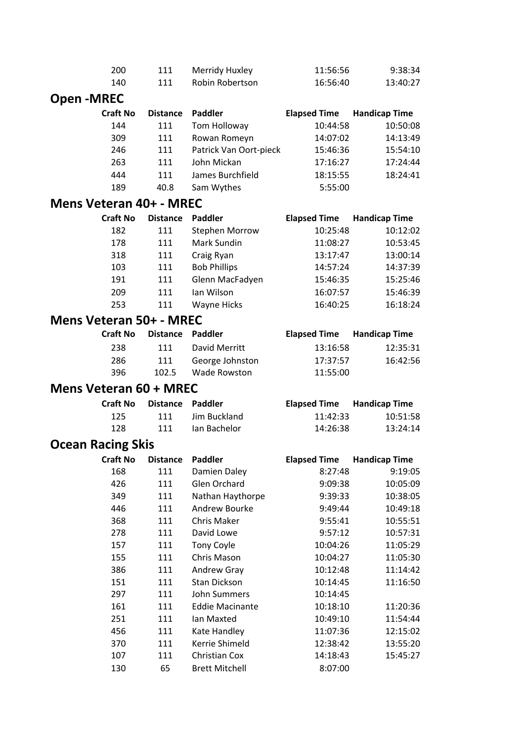|                                | 200             | 111             | Merridy Huxley                         | 11:56:56            | 9:38:34              |
|--------------------------------|-----------------|-----------------|----------------------------------------|---------------------|----------------------|
|                                | 140             | 111             | Robin Robertson                        | 16:56:40            | 13:40:27             |
| <b>Open-MREC</b>               |                 |                 |                                        |                     |                      |
|                                | <b>Craft No</b> | <b>Distance</b> | Paddler                                | <b>Elapsed Time</b> | <b>Handicap Time</b> |
|                                | 144             | 111             | Tom Holloway                           | 10:44:58            | 10:50:08             |
|                                | 309             | 111             | Rowan Romeyn                           | 14:07:02            | 14:13:49             |
|                                | 246             | 111             | Patrick Van Oort-pieck                 | 15:46:36            | 15:54:10             |
|                                | 263             | 111             | John Mickan                            | 17:16:27            | 17:24:44             |
|                                | 444             | 111             | James Burchfield                       | 18:15:55            | 18:24:41             |
|                                | 189             | 40.8            | Sam Wythes                             | 5:55:00             |                      |
| Mens Veteran 40+ - MREC        |                 |                 |                                        |                     |                      |
|                                | <b>Craft No</b> | <b>Distance</b> | Paddler                                | <b>Elapsed Time</b> | <b>Handicap Time</b> |
|                                | 182             | 111             | <b>Stephen Morrow</b>                  | 10:25:48            | 10:12:02             |
|                                | 178             | 111             | Mark Sundin                            | 11:08:27            | 10:53:45             |
|                                | 318             | 111             | Craig Ryan                             | 13:17:47            | 13:00:14             |
|                                | 103             | 111             | <b>Bob Phillips</b>                    | 14:57:24            | 14:37:39             |
|                                | 191             | 111             | Glenn MacFadyen                        | 15:46:35            | 15:25:46             |
|                                | 209             | 111             | Ian Wilson                             | 16:07:57            | 15:46:39             |
|                                | 253             | 111             | Wayne Hicks                            | 16:40:25            | 16:18:24             |
| <b>Mens Veteran 50+ - MREC</b> |                 |                 |                                        |                     |                      |
|                                | <b>Craft No</b> | <b>Distance</b> | <b>Paddler</b>                         | <b>Elapsed Time</b> | <b>Handicap Time</b> |
|                                | 238             | 111             | David Merritt                          | 13:16:58            | 12:35:31             |
|                                | 286             | 111             | George Johnston                        | 17:37:57            | 16:42:56             |
|                                | 396             | 102.5           | <b>Wade Rowston</b>                    | 11:55:00            |                      |
| <b>Mens Veteran 60 + MREC</b>  |                 |                 |                                        |                     |                      |
|                                | <b>Craft No</b> | <b>Distance</b> | <b>Paddler</b>                         | <b>Elapsed Time</b> | <b>Handicap Time</b> |
|                                | 125             | 111             | Jim Buckland                           | 11:42:33            | 10:51:58             |
|                                |                 |                 |                                        |                     |                      |
|                                | 128             | 111             | Ian Bachelor                           | 14:26:38            | 13:24:14             |
| <b>Ocean Racing Skis</b>       |                 |                 |                                        |                     |                      |
|                                | Craft No        | <b>Distance</b> | <b>Paddler</b>                         | <b>Elapsed Time</b> | <b>Handicap Time</b> |
|                                | 168             | 111             | Damien Daley                           | 8:27:48             | 9:19:05              |
|                                | 426             | 111             | Glen Orchard                           | 9:09:38             | 10:05:09             |
|                                | 349             | 111             | Nathan Haythorpe                       | 9:39:33             | 10:38:05             |
|                                | 446             | 111             | Andrew Bourke                          | 9:49:44             | 10:49:18             |
|                                | 368             | 111             | <b>Chris Maker</b>                     | 9:55:41             | 10:55:51             |
|                                | 278             | 111             | David Lowe                             | 9:57:12             | 10:57:31             |
|                                | 157             | 111             | <b>Tony Coyle</b>                      | 10:04:26            | 11:05:29             |
|                                | 155             | 111             | Chris Mason                            | 10:04:27            | 11:05:30             |
|                                | 386             | 111             | Andrew Gray                            | 10:12:48            | 11:14:42             |
|                                | 151             | 111             | Stan Dickson                           | 10:14:45            | 11:16:50             |
|                                | 297             | 111             | John Summers                           | 10:14:45            |                      |
|                                | 161             | 111             | <b>Eddie Macinante</b>                 | 10:18:10            | 11:20:36             |
|                                | 251             | 111             | Ian Maxted                             | 10:49:10            | 11:54:44             |
|                                | 456             | 111             | Kate Handley                           | 11:07:36            | 12:15:02             |
|                                | 370             | 111             | Kerrie Shimeld                         | 12:38:42            | 13:55:20             |
|                                | 107<br>130      | 111<br>65       | Christian Cox<br><b>Brett Mitchell</b> | 14:18:43<br>8:07:00 | 15:45:27             |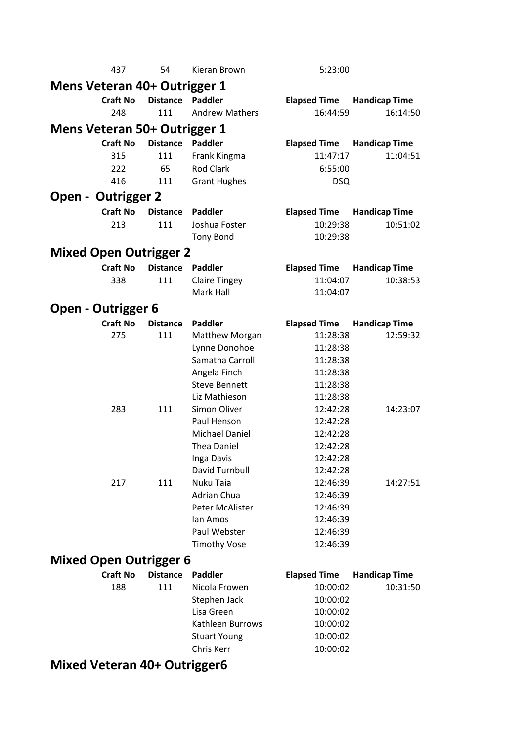|                                     | 437             | 54              | Kieran Brown                | 5:23:00              |                      |
|-------------------------------------|-----------------|-----------------|-----------------------------|----------------------|----------------------|
| Mens Veteran 40+ Outrigger 1        |                 |                 |                             |                      |                      |
|                                     | <b>Craft No</b> | <b>Distance</b> | Paddler                     | <b>Elapsed Time</b>  | <b>Handicap Time</b> |
|                                     | 248             | 111             | <b>Andrew Mathers</b>       | 16:44:59             | 16:14:50             |
| <b>Mens Veteran 50+ Outrigger 1</b> |                 |                 |                             |                      |                      |
|                                     | <b>Craft No</b> | <b>Distance</b> | <b>Paddler</b>              | <b>Elapsed Time</b>  | <b>Handicap Time</b> |
|                                     | 315             | 111             | Frank Kingma                | 11:47:17             | 11:04:51             |
|                                     | 222             | 65              | <b>Rod Clark</b>            | 6:55:00              |                      |
|                                     | 416             | 111             | <b>Grant Hughes</b>         | <b>DSQ</b>           |                      |
| <b>Open - Outrigger 2</b>           |                 |                 |                             |                      |                      |
|                                     | <b>Craft No</b> | <b>Distance</b> | <b>Paddler</b>              | <b>Elapsed Time</b>  | <b>Handicap Time</b> |
|                                     | 213             | 111             | Joshua Foster               | 10:29:38             | 10:51:02             |
|                                     |                 |                 | <b>Tony Bond</b>            | 10:29:38             |                      |
| <b>Mixed Open Outrigger 2</b>       |                 |                 |                             |                      |                      |
|                                     | <b>Craft No</b> | <b>Distance</b> | <b>Paddler</b>              | <b>Elapsed Time</b>  | <b>Handicap Time</b> |
|                                     | 338             | 111             | <b>Claire Tingey</b>        | 11:04:07             | 10:38:53             |
|                                     |                 |                 | Mark Hall                   | 11:04:07             |                      |
| <b>Open - Outrigger 6</b>           |                 |                 |                             |                      |                      |
|                                     | <b>Craft No</b> | <b>Distance</b> | Paddler                     | <b>Elapsed Time</b>  | <b>Handicap Time</b> |
|                                     | 275             | 111             | <b>Matthew Morgan</b>       | 11:28:38             | 12:59:32             |
|                                     |                 |                 | Lynne Donohoe               | 11:28:38             |                      |
|                                     |                 |                 | Samatha Carroll             | 11:28:38             |                      |
|                                     |                 |                 | Angela Finch                | 11:28:38             |                      |
|                                     |                 |                 | <b>Steve Bennett</b>        | 11:28:38             |                      |
|                                     |                 |                 | Liz Mathieson               | 11:28:38             |                      |
|                                     | 283             | 111             | Simon Oliver                | 12:42:28             | 14:23:07             |
|                                     |                 |                 | Paul Henson                 | 12:42:28             |                      |
|                                     |                 |                 | Michael Daniel              | 12:42:28             |                      |
|                                     |                 |                 | Thea Daniel                 | 12:42:28             |                      |
|                                     |                 |                 | Inga Davis                  | 12:42:28             |                      |
|                                     | 217             | 111             | David Turnbull<br>Nuku Taia | 12:42:28<br>12:46:39 | 14:27:51             |
|                                     |                 |                 | Adrian Chua                 | 12:46:39             |                      |
|                                     |                 |                 | <b>Peter McAlister</b>      | 12:46:39             |                      |
|                                     |                 |                 | lan Amos                    | 12:46:39             |                      |
|                                     |                 |                 | Paul Webster                | 12:46:39             |                      |
|                                     |                 |                 | <b>Timothy Vose</b>         | 12:46:39             |                      |
| <b>Mixed Open Outrigger 6</b>       |                 |                 |                             |                      |                      |
|                                     | <b>Craft No</b> | <b>Distance</b> | Paddler                     | <b>Elapsed Time</b>  | <b>Handicap Time</b> |
|                                     | 188             | 111             | Nicola Frowen               | 10:00:02             | 10:31:50             |
|                                     |                 |                 | Stephen Jack                | 10:00:02             |                      |
|                                     |                 |                 | Lisa Green                  | 10:00:02             |                      |
|                                     |                 |                 | Kathleen Burrows            | 10:00:02             |                      |
|                                     |                 |                 | <b>Stuart Young</b>         | 10:00:02             |                      |
|                                     |                 |                 | Chris Kerr                  | 10:00:02             |                      |
| Mivod Votora AOL                    |                 |                 |                             |                      |                      |

#### **Mixed Veteran 40+ Outrigger6**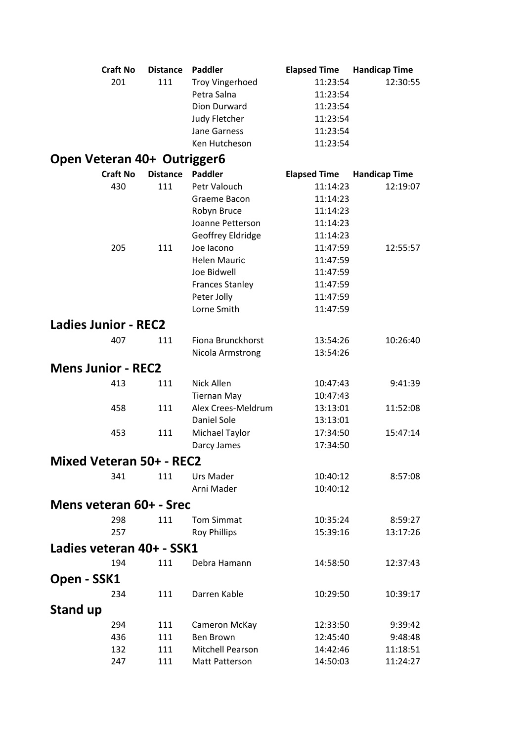|                                 | <b>Craft No</b> | <b>Distance</b> | <b>Paddler</b>          | <b>Elapsed Time</b>  | <b>Handicap Time</b> |  |  |  |
|---------------------------------|-----------------|-----------------|-------------------------|----------------------|----------------------|--|--|--|
|                                 | 201             | 111             | <b>Troy Vingerhoed</b>  | 11:23:54             | 12:30:55             |  |  |  |
|                                 |                 |                 | Petra Salna             | 11:23:54             |                      |  |  |  |
|                                 |                 |                 | Dion Durward            | 11:23:54             |                      |  |  |  |
|                                 |                 |                 | Judy Fletcher           | 11:23:54             |                      |  |  |  |
|                                 |                 |                 | Jane Garness            | 11:23:54             |                      |  |  |  |
|                                 |                 |                 | Ken Hutcheson           | 11:23:54             |                      |  |  |  |
| Open Veteran 40+ Outrigger6     |                 |                 |                         |                      |                      |  |  |  |
|                                 | <b>Craft No</b> | <b>Distance</b> | <b>Paddler</b>          | <b>Elapsed Time</b>  | <b>Handicap Time</b> |  |  |  |
|                                 | 430             | 111             | Petr Valouch            | 11:14:23             | 12:19:07             |  |  |  |
|                                 |                 |                 | Graeme Bacon            | 11:14:23             |                      |  |  |  |
|                                 |                 |                 | Robyn Bruce             | 11:14:23             |                      |  |  |  |
|                                 |                 |                 | Joanne Petterson        | 11:14:23             |                      |  |  |  |
|                                 |                 |                 | Geoffrey Eldridge       | 11:14:23             |                      |  |  |  |
|                                 | 205             | 111             | Joe lacono              | 11:47:59             | 12:55:57             |  |  |  |
|                                 |                 |                 | <b>Helen Mauric</b>     | 11:47:59             |                      |  |  |  |
|                                 |                 |                 | Joe Bidwell             | 11:47:59             |                      |  |  |  |
|                                 |                 |                 | <b>Frances Stanley</b>  | 11:47:59             |                      |  |  |  |
|                                 |                 |                 | Peter Jolly             | 11:47:59             |                      |  |  |  |
|                                 |                 |                 | Lorne Smith             | 11:47:59             |                      |  |  |  |
| <b>Ladies Junior - REC2</b>     |                 |                 |                         |                      |                      |  |  |  |
|                                 | 407             | 111             | Fiona Brunckhorst       | 13:54:26             | 10:26:40             |  |  |  |
|                                 |                 |                 | Nicola Armstrong        | 13:54:26             |                      |  |  |  |
| <b>Mens Junior - REC2</b>       |                 |                 |                         |                      |                      |  |  |  |
|                                 | 413             | 111             | Nick Allen              | 10:47:43             | 9:41:39              |  |  |  |
|                                 |                 |                 | <b>Tiernan May</b>      | 10:47:43             |                      |  |  |  |
|                                 | 458             | 111             | Alex Crees-Meldrum      | 13:13:01             | 11:52:08             |  |  |  |
|                                 |                 |                 | Daniel Sole             | 13:13:01             |                      |  |  |  |
|                                 | 453             | 111             | Michael Taylor          | 17:34:50             | 15:47:14             |  |  |  |
|                                 |                 |                 | Darcy James             | 17:34:50             |                      |  |  |  |
| <b>Mixed Veteran 50+ - REC2</b> |                 |                 |                         |                      |                      |  |  |  |
|                                 |                 | 111             |                         |                      |                      |  |  |  |
|                                 | 341             |                 | Urs Mader<br>Arni Mader | 10:40:12<br>10:40:12 | 8:57:08              |  |  |  |
|                                 |                 |                 |                         |                      |                      |  |  |  |
| Mens veteran 60+ - Srec         |                 |                 |                         |                      |                      |  |  |  |
|                                 | 298             | 111             | <b>Tom Simmat</b>       | 10:35:24             | 8:59:27              |  |  |  |
|                                 | 257             |                 | <b>Roy Phillips</b>     | 15:39:16             | 13:17:26             |  |  |  |
| Ladies veteran 40+ - SSK1       |                 |                 |                         |                      |                      |  |  |  |
|                                 | 194             | 111             | Debra Hamann            | 14:58:50             | 12:37:43             |  |  |  |
| Open - SSK1                     |                 |                 |                         |                      |                      |  |  |  |
|                                 | 234             | 111             | Darren Kable            | 10:29:50             | 10:39:17             |  |  |  |
| Stand up                        |                 |                 |                         |                      |                      |  |  |  |
|                                 | 294             | 111             | Cameron McKay           | 12:33:50             | 9:39:42              |  |  |  |
|                                 | 436             | 111             | <b>Ben Brown</b>        | 12:45:40             | 9:48:48              |  |  |  |
|                                 | 132             | 111             | Mitchell Pearson        | 14:42:46             | 11:18:51             |  |  |  |
|                                 | 247             | 111             | Matt Patterson          | 14:50:03             | 11:24:27             |  |  |  |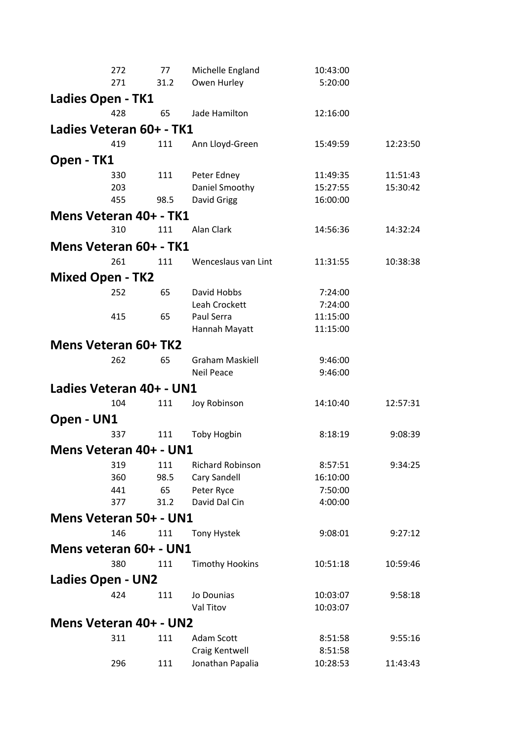|                                    | 272        | 77   | Michelle England                   | 10:43:00             |          |  |  |
|------------------------------------|------------|------|------------------------------------|----------------------|----------|--|--|
|                                    | 271        | 31.2 | Owen Hurley                        | 5:20:00              |          |  |  |
| Ladies Open - TK1                  |            |      |                                    |                      |          |  |  |
|                                    | 428        | 65   | Jade Hamilton                      | 12:16:00             |          |  |  |
| Ladies Veteran 60+ - TK1           |            |      |                                    |                      |          |  |  |
|                                    | 419        | 111  | Ann Lloyd-Green                    | 15:49:59             | 12:23:50 |  |  |
|                                    |            |      |                                    |                      |          |  |  |
| Open - TK1                         |            |      |                                    |                      |          |  |  |
|                                    | 330<br>203 | 111  | Peter Edney                        | 11:49:35<br>15:27:55 | 11:51:43 |  |  |
|                                    | 455        | 98.5 | Daniel Smoothy<br>David Grigg      | 16:00:00             | 15:30:42 |  |  |
|                                    |            |      |                                    |                      |          |  |  |
| Mens Veteran 40+ - TK1             | 310        | 111  | Alan Clark                         |                      |          |  |  |
|                                    |            |      |                                    | 14:56:36             | 14:32:24 |  |  |
| Mens Veteran 60+ - TK1             |            |      |                                    |                      |          |  |  |
|                                    | 261        | 111  | Wenceslaus van Lint                | 11:31:55             | 10:38:38 |  |  |
| <b>Mixed Open - TK2</b>            |            |      |                                    |                      |          |  |  |
|                                    | 252        | 65   | David Hobbs                        | 7:24:00              |          |  |  |
|                                    |            |      | Leah Crockett                      | 7:24:00              |          |  |  |
|                                    | 415        | 65   | Paul Serra                         | 11:15:00             |          |  |  |
|                                    |            |      | Hannah Mayatt                      | 11:15:00             |          |  |  |
| Mens Veteran 60+ TK2               |            |      |                                    |                      |          |  |  |
|                                    | 262        | 65   | <b>Graham Maskiell</b>             | 9:46:00              |          |  |  |
|                                    |            |      | <b>Neil Peace</b>                  | 9:46:00              |          |  |  |
| Ladies Veteran 40+ - UN1           |            |      |                                    |                      |          |  |  |
|                                    | 104        | 111  | Joy Robinson                       | 14:10:40             | 12:57:31 |  |  |
| Open - UN1                         |            |      |                                    |                      |          |  |  |
|                                    | 337        | 111  | <b>Toby Hogbin</b>                 | 8:18:19              | 9:08:39  |  |  |
| Mens Veteran 40+ - UN1             |            |      |                                    |                      |          |  |  |
|                                    | 319        | 111  | <b>Richard Robinson</b>            | 8:57:51              | 9:34:25  |  |  |
|                                    | 360        | 98.5 | Cary Sandell                       | 16:10:00             |          |  |  |
|                                    | 441        | 65   | Peter Ryce                         | 7:50:00              |          |  |  |
|                                    | 377        | 31.2 | David Dal Cin                      | 4:00:00              |          |  |  |
| Mens Veteran 50+ - UN1             |            |      |                                    |                      |          |  |  |
|                                    | 146        | 111  | <b>Tony Hystek</b>                 | 9:08:01              | 9:27:12  |  |  |
| Mens veteran 60+ - UN1             |            |      |                                    |                      |          |  |  |
|                                    | 380        | 111  | <b>Timothy Hookins</b>             | 10:51:18             | 10:59:46 |  |  |
|                                    |            |      |                                    |                      |          |  |  |
| <b>Ladies Open - UN2</b>           |            |      |                                    |                      |          |  |  |
|                                    | 424        | 111  | Jo Dounias<br>Val Titov            | 10:03:07             | 9:58:18  |  |  |
| 10:03:07<br>Mens Veteran 40+ - UN2 |            |      |                                    |                      |          |  |  |
|                                    |            |      |                                    |                      |          |  |  |
|                                    | 311        | 111  | Adam Scott                         | 8:51:58              | 9:55:16  |  |  |
|                                    | 296        | 111  | Craig Kentwell<br>Jonathan Papalia | 8:51:58<br>10:28:53  | 11:43:43 |  |  |
|                                    |            |      |                                    |                      |          |  |  |